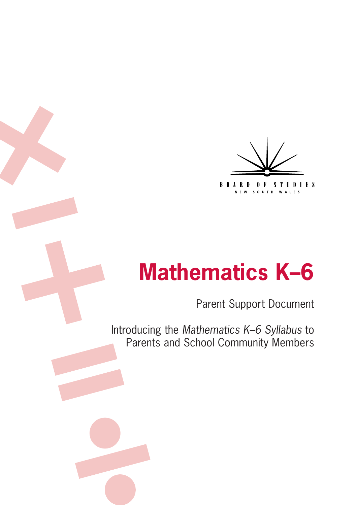

# Parent Support Document

Introducing the *Mathematics K–6 Syllabus* to Parents and School Community Members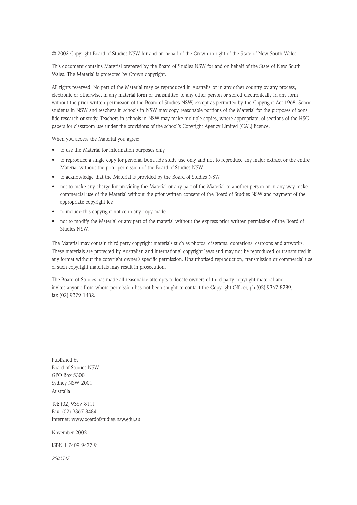© 2002 Copyright Board of Studies NSW for and on behalf of the Crown in right of the State of New South Wales.

This document contains Material prepared by the Board of Studies NSW for and on behalf of the State of New South Wales. The Material is protected by Crown copyright.

All rights reserved. No part of the Material may be reproduced in Australia or in any other country by any process, electronic or otherwise, in any material form or transmitted to any other person or stored electronically in any form without the prior written permission of the Board of Studies NSW, except as permitted by the Copyright Act 1968. School students in NSW and teachers in schools in NSW may copy reasonable portions of the Material for the purposes of bona fide research or study. Teachers in schools in NSW may make multiple copies, where appropriate, of sections of the HSC papers for classroom use under the provisions of the school's Copyright Agency Limited (CAL) licence.

When you access the Material you agree:

- to use the Material for information purposes only
- to reproduce a single copy for personal bona fide study use only and not to reproduce any major extract or the entire Material without the prior permission of the Board of Studies NSW
- to acknowledge that the Material is provided by the Board of Studies NSW
- not to make any charge for providing the Material or any part of the Material to another person or in any way make commercial use of the Material without the prior written consent of the Board of Studies NSW and payment of the appropriate copyright fee
- to include this copyright notice in any copy made
- not to modify the Material or any part of the material without the express prior written permission of the Board of Studies NSW.

The Material may contain third party copyright materials such as photos, diagrams, quotations, cartoons and artworks. These materials are protected by Australian and international copyright laws and may not be reproduced or transmitted in any format without the copyright owner's specific permission. Unauthorised reproduction, transmission or commercial use of such copyright materials may result in prosecution.

The Board of Studies has made all reasonable attempts to locate owners of third party copyright material and invites anyone from whom permission has not been sought to contact the Copyright Officer, ph (02) 9367 8289, fax (02) 9279 1482.

Published by Board of Studies NSW GPO Box 5300 Sydney NSW 2001 Australia

Tel: (02) 9367 8111 Fax: (02) 9367 8484 Internet: www.boardofstudies.nsw.edu.au

November 2002

ISBN 1 7409 9477 9

*2002547*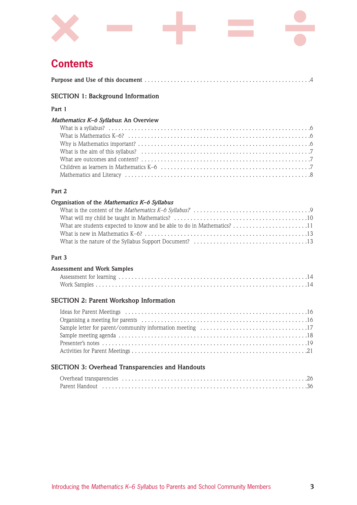

## **Contents**

## **SECTION 1: Background Information**

## **Part 1**

### *Mathematics K–6 Syllabus***: An Overview**

## **Part 2**

### **Organisation of the** *Mathematics K–6 Syllabus*

## **Part 3**

### **Assessment and Work Samples**

## **SECTION 2: Parent Workshop Information**

## **SECTION 3: Overhead Transparencies and Handouts**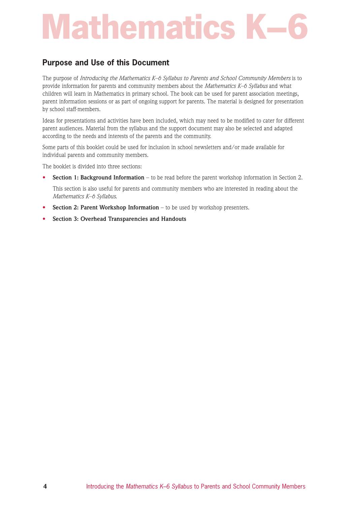## **Purpose and Use of this Document**

The purpose of *Introducing the Mathematics K–6 Syllabus to Parents and School Community Members* is to provide information for parents and community members about the *Mathematics K–6 Syllabus* and what children will learn in Mathematics in primary school. The book can be used for parent association meetings, parent information sessions or as part of ongoing support for parents. The material is designed for presentation by school staff-members.

Ideas for presentations and activities have been included, which may need to be modified to cater for different parent audiences. Material from the syllabus and the support document may also be selected and adapted according to the needs and interests of the parents and the community.

Some parts of this booklet could be used for inclusion in school newsletters and/or made available for individual parents and community members.

The booklet is divided into three sections:

**• Section 1: Background Information** – to be read before the parent workshop information in Section 2.

This section is also useful for parents and community members who are interested in reading about the *Mathematics K–6 Syllabus*.

- **Section 2: Parent Workshop Information** to be used by workshop presenters.
- **• Section 3: Overhead Transparencies and Handouts**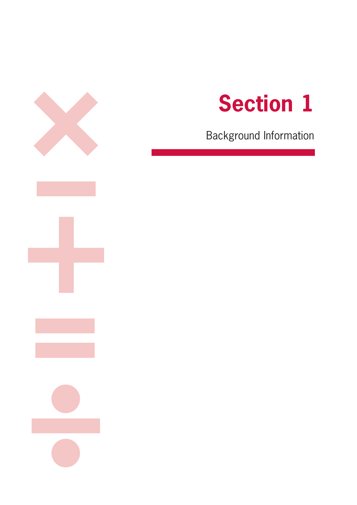



Background Information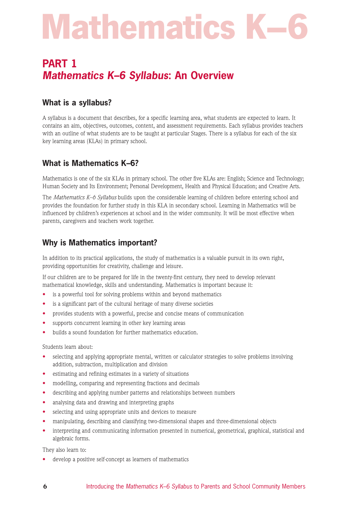## **PART 1** *Mathematics K–6 Syllabus***: An Overview**

## **What is a syllabus?**

A syllabus is a document that describes, for a specific learning area, what students are expected to learn. It contains an aim, objectives, outcomes, content, and assessment requirements. Each syllabus provides teachers with an outline of what students are to be taught at particular Stages. There is a syllabus for each of the six key learning areas (KLAs) in primary school.

## **What is Mathematics K–6?**

Mathematics is one of the six KLAs in primary school. The other five KLAs are: English; Science and Technology; Human Society and Its Environment; Personal Development, Health and Physical Education; and Creative Arts.

The *Mathematics K–6 Syllabus* builds upon the considerable learning of children before entering school and provides the foundation for further study in this KLA in secondary school. Learning in Mathematics will be influenced by children's experiences at school and in the wider community. It will be most effective when parents, caregivers and teachers work together.

## **Why is Mathematics important?**

In addition to its practical applications, the study of mathematics is a valuable pursuit in its own right, providing opportunities for creativity, challenge and leisure.

If our children are to be prepared for life in the twenty-first century, they need to develop relevant mathematical knowledge, skills and understanding. Mathematics is important because it:

- is a powerful tool for solving problems within and beyond mathematics
- is a significant part of the cultural heritage of many diverse societies
- provides students with a powerful, precise and concise means of communication
- supports concurrent learning in other key learning areas
- builds a sound foundation for further mathematics education.

### Students learn about:

- selecting and applying appropriate mental, written or calculator strategies to solve problems involving addition, subtraction, multiplication and division
- estimating and refining estimates in a variety of situations
- modelling, comparing and representing fractions and decimals
- describing and applying number patterns and relationships between numbers
- analysing data and drawing and interpreting graphs
- selecting and using appropriate units and devices to measure
- manipulating, describing and classifying two-dimensional shapes and three-dimensional objects
- interpreting and communicating information presented in numerical, geometrical, graphical, statistical and algebraic forms.

They also learn to:

develop a positive self-concept as learners of mathematics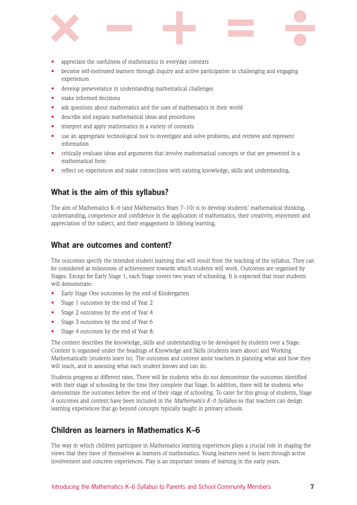

- appreciate the usefulness of mathematics in everyday contexts
- become self-motivated learners through inquiry and active participation in challenging and engaging experiences
- develop perseverance in understanding mathematical challenges
- make informed decisions
- ask questions about mathematics and the uses of mathematics in their world
- describe and explain mathematical ideas and procedures
- interpret and apply mathematics in a variety of contexts
- use an appropriate technological tool to investigate and solve problems, and retrieve and represent information
- critically evaluate ideas and arguments that involve mathematical concepts or that are presented in a mathematical form
- reflect on experiences and make connections with existing knowledge, skills and understanding.

## **What is the aim of this syllabus?**

The aim of Mathematics K–6 (and Mathematics Years 7–10) is to develop students' mathematical thinking, understanding, competence and confidence in the application of mathematics, their creativity, enjoyment and appreciation of the subject, and their engagement in lifelong learning.

## **What are outcomes and content?**

The outcomes specify the intended student learning that will result from the teaching of the syllabus. They can be considered as milestones of achievement towards which students will work. Outcomes are organised by Stages. Except for Early Stage 1, each Stage covers two years of schooling. It is expected that most students will demonstrate:

- Early Stage One outcomes by the end of Kindergarten
- Stage 1 outcomes by the end of Year 2
- Stage 2 outcomes by the end of Year 4
- Stage 3 outcomes by the end of Year 6
- Stage 4 outcomes by the end of Year 8.

The content describes the knowledge, skills and understanding to be developed by students over a Stage. Content is organised under the headings of Knowledge and Skills (students learn about) and Working Mathematically (students learn to). The outcomes and content assist teachers in planning what and how they will teach, and in assessing what each student knows and can do.

Students progress at different rates. There will be students who do not demonstrate the outcomes identified with their stage of schooling by the time they complete that Stage. In addition, there will be students who demonstrate the outcomes before the end of their stage of schooling. To cater for this group of students, Stage 4 outcomes and content have been included in the *Mathematics K–6 Syllabus* so that teachers can design learning experiences that go beyond concepts typically taught in primary schools.

## **Children as learners in Mathematics K–6**

The way in which children participate in Mathematics learning experiences plays a crucial role in shaping the views that they have of themselves as learners of mathematics. Young learners need to learn through active involvement and concrete experiences. Play is an important means of learning in the early years.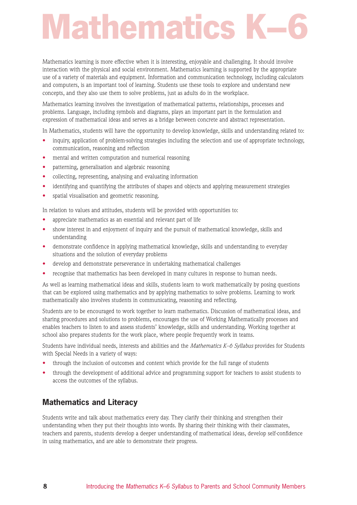# **Mathematics**

Mathematics learning is more effective when it is interesting, enjoyable and challenging. It should involve interaction with the physical and social environment. Mathematics learning is supported by the appropriate use of a variety of materials and equipment. Information and communication technology, including calculators and computers, is an important tool of learning. Students use these tools to explore and understand new concepts, and they also use them to solve problems, just as adults do in the workplace.

Mathematics learning involves the investigation of mathematical patterns, relationships, processes and problems. Language, including symbols and diagrams, plays an important part in the formulation and expression of mathematical ideas and serves as a bridge between concrete and abstract representation.

In Mathematics, students will have the opportunity to develop knowledge, skills and understanding related to:

- inquiry, application of problem-solving strategies including the selection and use of appropriate technology, communication, reasoning and reflection
- mental and written computation and numerical reasoning
- patterning, generalisation and algebraic reasoning
- collecting, representing, analysing and evaluating information
- identifying and quantifying the attributes of shapes and objects and applying measurement strategies
- spatial visualisation and geometric reasoning.

In relation to values and attitudes, students will be provided with opportunities to:

- appreciate mathematics as an essential and relevant part of life
- show interest in and enjoyment of inquiry and the pursuit of mathematical knowledge, skills and understanding
- demonstrate confidence in applying mathematical knowledge, skills and understanding to everyday situations and the solution of everyday problems
- develop and demonstrate perseverance in undertaking mathematical challenges
- recognise that mathematics has been developed in many cultures in response to human needs.

As well as learning mathematical ideas and skills, students learn to work mathematically by posing questions that can be explored using mathematics and by applying mathematics to solve problems. Learning to work mathematically also involves students in communicating, reasoning and reflecting.

Students are to be encouraged to work together to learn mathematics. Discussion of mathematical ideas, and sharing procedures and solutions to problems, encourages the use of Working Mathematically processes and enables teachers to listen to and assess students' knowledge, skills and understanding. Working together at school also prepares students for the work place, where people frequently work in teams.

Students have individual needs, interests and abilities and the *Mathematics K–6 Syllabus* provides for Students with Special Needs in a variety of ways:

- through the inclusion of outcomes and content which provide for the full range of students
- through the development of additional advice and programming support for teachers to assist students to access the outcomes of the syllabus.

## **Mathematics and Literacy**

Students write and talk about mathematics every day. They clarify their thinking and strengthen their understanding when they put their thoughts into words. By sharing their thinking with their classmates, teachers and parents, students develop a deeper understanding of mathematical ideas, develop self-confidence in using mathematics, and are able to demonstrate their progress.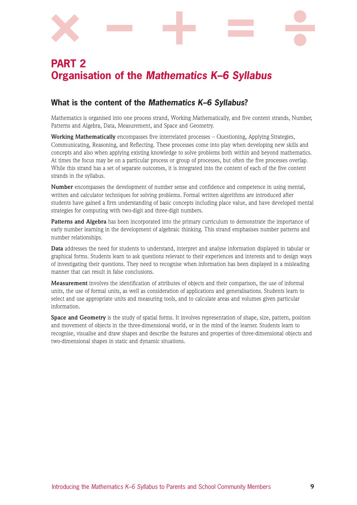

# **PART 2 Organisation of the** *Mathematics K–6 Syllabus*

## **What is the content of the** *Mathematics K–6 Syllabus***?**

Mathematics is organised into one process strand, Working Mathematically, and five content strands, Number, Patterns and Algebra, Data, Measurement, and Space and Geometry.

**Working Mathematically** encompasses five interrelated processes – Questioning, Applying Strategies, Communicating, Reasoning, and Reflecting. These processes come into play when developing new skills and concepts and also when applying existing knowledge to solve problems both within and beyond mathematics. At times the focus may be on a particular process or group of processes, but often the five processes overlap. While this strand has a set of separate outcomes, it is integrated into the content of each of the five content strands in the syllabus.

**Number** encompasses the development of number sense and confidence and competence in using mental, written and calculator techniques for solving problems. Formal written algorithms are introduced after students have gained a firm understanding of basic concepts including place value, and have developed mental strategies for computing with two-digit and three-digit numbers.

**Patterns and Algebra** has been incorporated into the primary curriculum to demonstrate the importance of early number learning in the development of algebraic thinking. This strand emphasises number patterns and number relationships.

**Data** addresses the need for students to understand, interpret and analyse information displayed in tabular or graphical forms. Students learn to ask questions relevant to their experiences and interests and to design ways of investigating their questions. They need to recognise when information has been displayed in a misleading manner that can result in false conclusions.

**Measurement** involves the identification of attributes of objects and their comparison, the use of informal units, the use of formal units, as well as consideration of applications and generalisations. Students learn to select and use appropriate units and measuring tools, and to calculate areas and volumes given particular information.

**Space and Geometry** is the study of spatial forms. It involves representation of shape, size, pattern, position and movement of objects in the three-dimensional world, or in the mind of the learner. Students learn to recognise, visualise and draw shapes and describe the features and properties of three-dimensional objects and two-dimensional shapes in static and dynamic situations.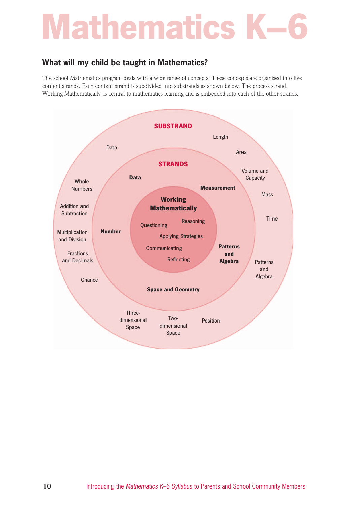## **What will my child be taught in Mathematics?**

The school Mathematics program deals with a wide range of concepts. These concepts are organised into five content strands. Each content strand is subdivided into substrands as shown below. The process strand, Working Mathematically, is central to mathematics learning and is embedded into each of the other strands.

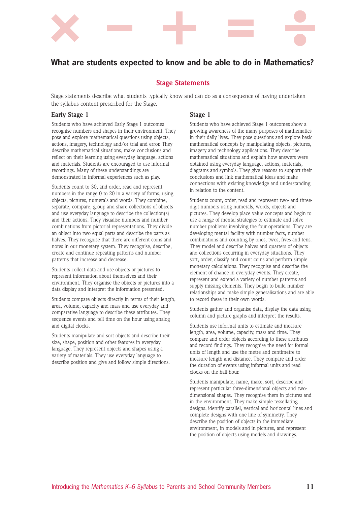

## **What are students expected to know and be able to do in Mathematics?**

## **Stage Statements**

Stage statements describe what students typically know and can do as a consequence of having undertaken the syllabus content prescribed for the Stage.

### **Early Stage 1** Stage 1

Students who have achieved Early Stage 1 outcomes recognise numbers and shapes in their environment. They pose and explore mathematical questions using objects, actions, imagery, technology and/or trial and error. They describe mathematical situations, make conclusions and reflect on their learning using everyday language, actions and materials. Students are encouraged to use informal recordings. Many of these understandings are demonstrated in informal experiences such as play.

Students count to 30, and order, read and represent numbers in the range 0 to 20 in a variety of forms, using objects, pictures, numerals and words. They combine, separate, compare, group and share collections of objects and use everyday language to describe the collection(s) and their actions. They visualise numbers and number combinations from pictorial representations. They divide an object into two equal parts and describe the parts as halves. They recognise that there are different coins and notes in our monetary system. They recognise, describe, create and continue repeating patterns and number patterns that increase and decrease.

Students collect data and use objects or pictures to represent information about themselves and their environment. They organise the objects or pictures into a data display and interpret the information presented.

Students compare objects directly in terms of their length, area, volume, capacity and mass and use everyday and comparative language to describe these attributes. They sequence events and tell time on the hour using analog and digital clocks.

Students manipulate and sort objects and describe their size, shape, position and other features in everyday language. They represent objects and shapes using a variety of materials. They use everyday language to describe position and give and follow simple directions.

Students who have achieved Stage 1 outcomes show a growing awareness of the many purposes of mathematics in their daily lives. They pose questions and explore basic mathematical concepts by manipulating objects, pictures, imagery and technology applications. They describe mathematical situations and explain how answers were obtained using everyday language, actions, materials, diagrams and symbols. They give reasons to support their conclusions and link mathematical ideas and make connections with existing knowledge and understanding in relation to the content.

Students count, order, read and represent two- and threedigit numbers using numerals, words, objects and pictures. They develop place value concepts and begin to use a range of mental strategies to estimate and solve number problems involving the four operations. They are developing mental facility with number facts, number combinations and counting by ones, twos, fives and tens. They model and describe halves and quarters of objects and collections occurring in everyday situations. They sort, order, classify and count coins and perform simple monetary calculations. They recognise and describe the element of chance in everyday events. They create, represent and extend a variety of number patterns and supply missing elements. They begin to build number relationships and make simple generalisations and are able to record these in their own words.

Students gather and organise data, display the data using column and picture graphs and interpret the results.

Students use informal units to estimate and measure length, area, volume, capacity, mass and time. They compare and order objects according to these attributes and record findings. They recognise the need for formal units of length and use the metre and centimetre to measure length and distance. They compare and order the duration of events using informal units and read clocks on the half-hour.

Students manipulate, name, make, sort, describe and represent particular three-dimensional objects and twodimensional shapes. They recognise them in pictures and in the environment. They make simple tessellating designs, identify parallel, vertical and horizontal lines and complete designs with one line of symmetry. They describe the position of objects in the immediate environment, in models and in pictures, and represent the position of objects using models and drawings.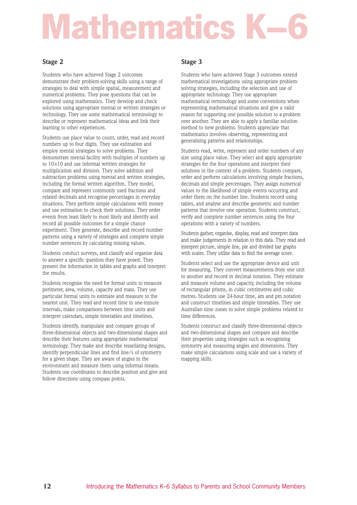# **Mathematics**

Students who have achieved Stage 2 outcomes demonstrate their problem-solving skills using a range of strategies to deal with simple spatial, measurement and numerical problems. They pose questions that can be explored using mathematics. They develop and check solutions using appropriate mental or written strategies or technology. They use some mathematical terminology to describe or represent mathematical ideas and link their learning to other experiences.

Students use place value to count, order, read and record numbers up to four digits. They use estimation and employ mental strategies to solve problems. They demonstrate mental facility with multiples of numbers up to 10×10 and use informal written strategies for multiplication and division. They solve addition and subtraction problems using mental and written strategies, including the formal written algorithm. They model, compare and represent commonly used fractions and related decimals and recognise percentages in everyday situations. They perform simple calculations with money and use estimation to check their solutions. They order events from least likely to most likely and identify and record all possible outcomes for a simple chance experiment. They generate, describe and record number patterns using a variety of strategies and complete simple number sentences by calculating missing values.

Students conduct surveys, and classify and organise data to answer a specific question they have posed. They present the information in tables and graphs and interpret the results.

Students recognise the need for formal units to measure perimeter, area, volume, capacity and mass. They use particular formal units to estimate and measure to the nearest unit. They read and record time in one-minute intervals, make comparisons between time units and interpret calendars, simple timetables and timelines.

Students identify, manipulate and compare groups of three-dimensional objects and two-dimensional shapes and describe their features using appropriate mathematical terminology. They make and describe tessellating designs, identify perpendicular lines and find line/s of symmetry for a given shape. They are aware of angles in the environment and measure them using informal means. Students use coordinates to describe position and give and follow directions using compass points.

## Stage 2 Stage 3

Students who have achieved Stage 3 outcomes extend mathematical investigations using appropriate problemsolving strategies, including the selection and use of appropriate technology. They use appropriate mathematical terminology and some conventions when representing mathematical situations and give a valid reason for supporting one possible solution to a problem over another. They are able to apply a familiar solution method to new problems. Students appreciate that mathematics involves observing, representing and generalising patterns and relationships.

Students read, write, represent and order numbers of any size using place value. They select and apply appropriate strategies for the four operations and interpret their solutions in the context of a problem. Students compare, order and perform calculations involving simple fractions, decimals and simple percentages. They assign numerical values to the likelihood of simple events occurring and order them on the number line. Students record using tables, and analyse and describe geometric and number patterns that involve one operation. Students construct, verify and complete number sentences using the four operations with a variety of numbers.

Students gather, organise, display, read and interpret data and make judgements in relation to this data. They read and interpret picture, simple line, pie and divided bar graphs with scales. They utilise data to find the average score.

Students select and use the appropriate device and unit for measuring. They convert measurements from one unit to another and record in decimal notation. They estimate and measure volume and capacity, including the volume of rectangular prisms, in cubic centimetres and cubic metres. Students use 24-hour time, am and pm notation and construct timelines and simple timetables. They use Australian time zones to solve simple problems related to time differences.

Students construct and classify three-dimensional objects and two-dimensional shapes and compare and describe their properties using strategies such as recognising symmetry and measuring angles and dimensions. They make simple calculations using scale and use a variety of mapping skills.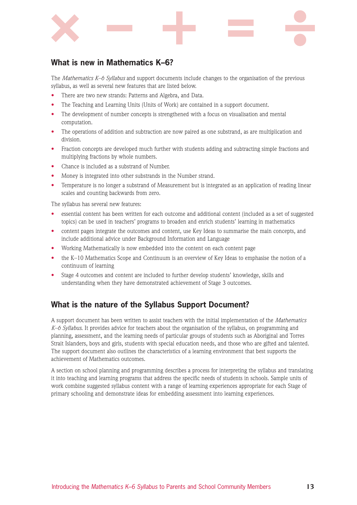

## **What is new in Mathematics K–6?**

The *Mathematics K–6 Syllabus* and support documents include changes to the organisation of the previous syllabus, as well as several new features that are listed below.

- There are two new strands: Patterns and Algebra, and Data.
- The Teaching and Learning Units (Units of Work) are contained in a support document.
- The development of number concepts is strengthened with a focus on visualisation and mental computation.
- The operations of addition and subtraction are now paired as one substrand, as are multiplication and division.
- Fraction concepts are developed much further with students adding and subtracting simple fractions and multiplying fractions by whole numbers.
- Chance is included as a substrand of Number.
- Money is integrated into other substrands in the Number strand.
- Temperature is no longer a substrand of Measurement but is integrated as an application of reading linear scales and counting backwards from zero.

The syllabus has several new features:

- essential content has been written for each outcome and additional content (included as a set of suggested topics) can be used in teachers' programs to broaden and enrich students' learning in mathematics
- content pages integrate the outcomes and content, use Key Ideas to summarise the main concepts, and include additional advice under Background Information and Language
- Working Mathematically is now embedded into the content on each content page
- the K–10 Mathematics Scope and Continuum is an overview of Key Ideas to emphasise the notion of a continuum of learning
- Stage 4 outcomes and content are included to further develop students' knowledge, skills and understanding when they have demonstrated achievement of Stage 3 outcomes.

## **What is the nature of the Syllabus Support Document?**

A support document has been written to assist teachers with the initial implementation of the *Mathematics K–6 Syllabus*. It provides advice for teachers about the organisation of the syllabus, on programming and planning, assessment, and the learning needs of particular groups of students such as Aboriginal and Torres Strait Islanders, boys and girls, students with special education needs, and those who are gifted and talented. The support document also outlines the characteristics of a learning environment that best supports the achievement of Mathematics outcomes.

A section on school planning and programming describes a process for interpreting the syllabus and translating it into teaching and learning programs that address the specific needs of students in schools. Sample units of work combine suggested syllabus content with a range of learning experiences appropriate for each Stage of primary schooling and demonstrate ideas for embedding assessment into learning experiences.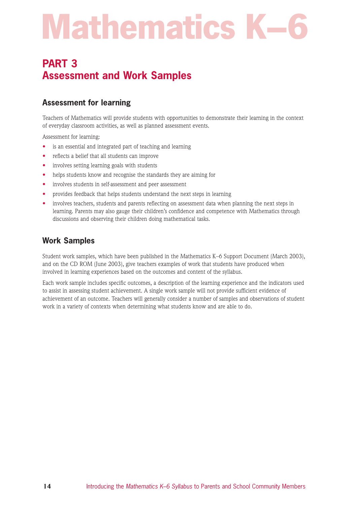# **PART 3 Assessment and Work Samples**

## **Assessment for learning**

Teachers of Mathematics will provide students with opportunities to demonstrate their learning in the context of everyday classroom activities, as well as planned assessment events.

Assessment for learning:

- is an essential and integrated part of teaching and learning
- reflects a belief that all students can improve
- involves setting learning goals with students
- helps students know and recognise the standards they are aiming for
- involves students in self-assessment and peer assessment
- provides feedback that helps students understand the next steps in learning
- involves teachers, students and parents reflecting on assessment data when planning the next steps in learning. Parents may also gauge their children's confidence and competence with Mathematics through discussions and observing their children doing mathematical tasks.

## **Work Samples**

Student work samples, which have been published in the Mathematics K–6 Support Document (March 2003), and on the CD ROM (June 2003), give teachers examples of work that students have produced when involved in learning experiences based on the outcomes and content of the syllabus.

Each work sample includes specific outcomes, a description of the learning experience and the indicators used to assist in assessing student achievement. A single work sample will not provide sufficient evidence of achievement of an outcome. Teachers will generally consider a number of samples and observations of student work in a variety of contexts when determining what students know and are able to do.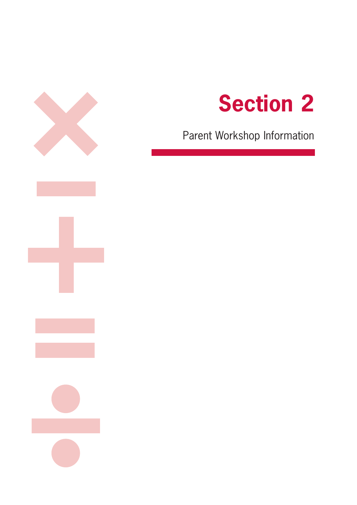



Parent Workshop Information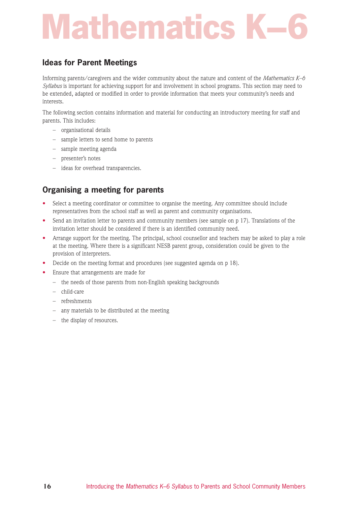# **Mathematics**

## **Ideas for Parent Meetings**

Informing parents/caregivers and the wider community about the nature and content of the *Mathematics K–6 Syllabus* is important for achieving support for and involvement in school programs. This section may need to be extended, adapted or modified in order to provide information that meets your community's needs and interests.

The following section contains information and material for conducting an introductory meeting for staff and parents. This includes:

- organisational details
- sample letters to send home to parents
- sample meeting agenda
- presenter's notes
- ideas for overhead transparencies.

## **Organising a meeting for parents**

- Select a meeting coordinator or committee to organise the meeting. Any committee should include representatives from the school staff as well as parent and community organisations.
- Send an invitation letter to parents and community members (see sample on p 17). Translations of the invitation letter should be considered if there is an identified community need.
- Arrange support for the meeting. The principal, school counsellor and teachers may be asked to play a role at the meeting. Where there is a significant NESB parent group, consideration could be given to the provision of interpreters.
- Decide on the meeting format and procedures (see suggested agenda on p 18).
- Ensure that arrangements are made for
	- the needs of those parents from non-English speaking backgrounds
	- child-care
	- refreshments
	- any materials to be distributed at the meeting
	- the display of resources.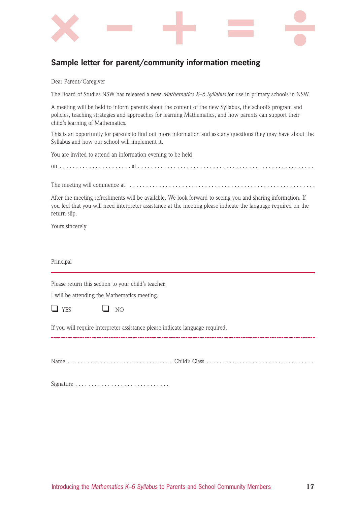

## **Sample letter for parent/community information meeting**

Dear Parent/Caregiver

The Board of Studies NSW has released a new *Mathematics K–6 Syllabus* for use in primary schools in NSW.

A meeting will be held to inform parents about the content of the new Syllabus, the school's program and policies, teaching strategies and approaches for learning Mathematics, and how parents can support their child's learning of Mathematics.

This is an opportunity for parents to find out more information and ask any questions they may have about the Syllabus and how our school will implement it.

You are invited to attend an information evening to be held

on . . . . . . . . . . . . . . . . . . . . . . at . . . . . . . . . . . . . . . . . . . . . . . . . . . . . . . . . . . . . . . . . . . . . . . . . . . . . .

The meeting will commence at . . . . . . . . . . . . . . . . . . . . . . . . . . . . . . . . . . . . . . . . . . . . . . . . . . . . . . . . .

After the meeting refreshments will be available. We look forward to seeing you and sharing information. If you feel that you will need interpreter assistance at the meeting please indicate the language required on the return slip.

Yours sincerely

Principal

Please return this section to your child's teacher.

I will be attending the Mathematics meeting.

 $\Box$  YES  $\Box$  NO

If you will require interpreter assistance please indicate language required.

Name . . . . . . . . . . . . . . . . . . . . . . . . . . . . . . . . Child's Class . . . . . . . . . . . . . . . . . . . . . . . . . . . . . . . . .

Signature . . . . . . . . . . . . . . . . . . . . . . . . . . . . .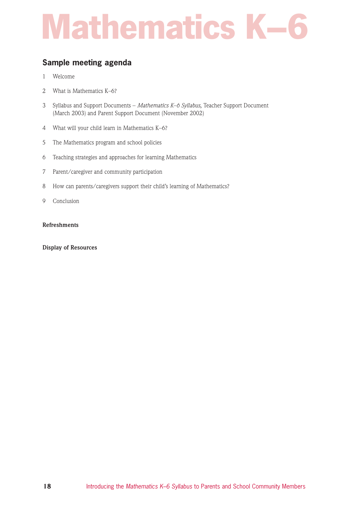## **Sample meeting agenda**

- 1 Welcome
- 2 What is Mathematics K–6?
- 3 Syllabus and Support Documents *Mathematics K–6 Syllabus*, Teacher Support Document (March 2003) and Parent Support Document (November 2002)
- 4 What will your child learn in Mathematics K–6?
- 5 The Mathematics program and school policies
- 6 Teaching strategies and approaches for learning Mathematics
- 7 Parent/caregiver and community participation
- 8 How can parents/caregivers support their child's learning of Mathematics?
- 9 Conclusion

### **Refreshments**

**Display of Resources**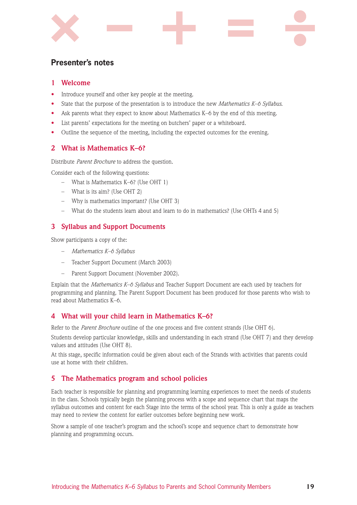

## **Presenter's notes**

## **1 Welcome**

- Introduce yourself and other key people at the meeting.
- State that the purpose of the presentation is to introduce the new *Mathematics K–6 Syllabus*.
- Ask parents what they expect to know about Mathematics K–6 by the end of this meeting.
- List parents' expectations for the meeting on butchers' paper or a whiteboard.
- Outline the sequence of the meeting, including the expected outcomes for the evening.

## **2 What is Mathematics K–6?**

Distribute *Parent Brochure* to address the question.

Consider each of the following questions:

- What is Mathematics K–6? (Use OHT 1)
- What is its aim? (Use OHT 2)
- Why is mathematics important? (Use OHT 3)
- What do the students learn about and learn to do in mathematics? (Use OHTs 4 and 5)

## **3 Syllabus and Support Documents**

Show participants a copy of the:

- *Mathematics K–6 Syllabus*
- Teacher Support Document (March 2003)
- Parent Support Document (November 2002).

Explain that the *Mathematics K–6 Syllabus* and Teacher Support Document are each used by teachers for programming and planning. The Parent Support Document has been produced for those parents who wish to read about Mathematics K–6.

## **4 What will your child learn in Mathematics K–6?**

Refer to the *Parent Brochure* outline of the one process and five content strands (Use OHT 6).

Students develop particular knowledge, skills and understanding in each strand (Use OHT 7) and they develop values and attitudes (Use OHT 8).

At this stage, specific information could be given about each of the Strands with activities that parents could use at home with their children.

## **5 The Mathematics program and school policies**

Each teacher is responsible for planning and programming learning experiences to meet the needs of students in the class. Schools typically begin the planning process with a scope and sequence chart that maps the syllabus outcomes and content for each Stage into the terms of the school year. This is only a guide as teachers may need to review the content for earlier outcomes before beginning new work.

Show a sample of one teacher's program and the school's scope and sequence chart to demonstrate how planning and programming occurs.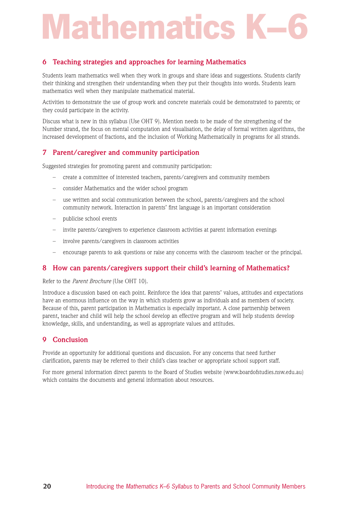# **Mathematics**

## **6 Teaching strategies and approaches for learning Mathematics**

Students learn mathematics well when they work in groups and share ideas and suggestions. Students clarify their thinking and strengthen their understanding when they put their thoughts into words. Students learn mathematics well when they manipulate mathematical material.

Activities to demonstrate the use of group work and concrete materials could be demonstrated to parents; or they could participate in the activity.

Discuss what is new in this syllabus (Use OHT 9). Mention needs to be made of the strengthening of the Number strand, the focus on mental computation and visualisation, the delay of formal written algorithms, the increased development of fractions, and the inclusion of Working Mathematically in programs for all strands.

## **7 Parent/caregiver and community participation**

Suggested strategies for promoting parent and community participation:

- create a committee of interested teachers, parents/caregivers and community members
- consider Mathematics and the wider school program
- use written and social communication between the school, parents/caregivers and the school community network. Interaction in parents' first language is an important consideration
- publicise school events
- invite parents/caregivers to experience classroom activities at parent information evenings
- involve parents/caregivers in classroom activities
- encourage parents to ask questions or raise any concerns with the classroom teacher or the principal.

## **8 How can parents/caregivers support their child's learning of Mathematics?**

#### Refer to the *Parent Brochure* (Use OHT 10).

Introduce a discussion based on each point. Reinforce the idea that parents' values, attitudes and expectations have an enormous influence on the way in which students grow as individuals and as members of society. Because of this, parent participation in Mathematics is especially important. A close partnership between parent, teacher and child will help the school develop an effective program and will help students develop knowledge, skills, and understanding, as well as appropriate values and attitudes.

## **9 Conclusion**

Provide an opportunity for additional questions and discussion. For any concerns that need further clarification, parents may be referred to their child's class teacher or appropriate school support staff.

For more general information direct parents to the Board of Studies website (www.boardofstudies.nsw.edu.au) which contains the documents and general information about resources.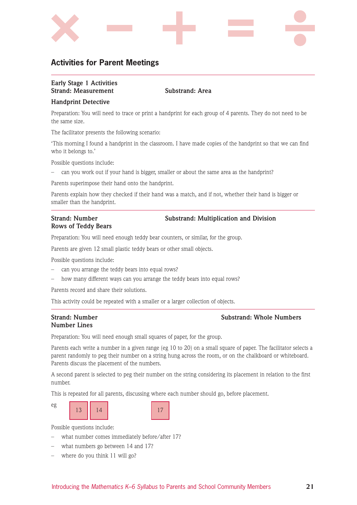

## **Activities for Parent Meetings**

## **Early Stage 1 Activities Strand: Measurement Substrand: Area**

### **Handprint Detective**

Preparation: You will need to trace or print a handprint for each group of 4 parents. They do not need to be the same size.

The facilitator presents the following scenario:

'This morning I found a handprint in the classroom. I have made copies of the handprint so that we can find who it belongs to.'

Possible questions include:

– can you work out if your hand is bigger, smaller or about the same area as the handprint?

Parents superimpose their hand onto the handprint.

Parents explain how they checked if their hand was a match, and if not, whether their hand is bigger or smaller than the handprint.

# **Rows of Teddy Bears**

### **Strand: Number Substrand: Multiplication and Division**

Preparation: You will need enough teddy bear counters, or similar, for the group.

Parents are given 12 small plastic teddy bears or other small objects.

Possible questions include:

- can you arrange the teddy bears into equal rows?
- how many different ways can you arrange the teddy bears into equal rows?

Parents record and share their solutions.

This activity could be repeated with a smaller or a larger collection of objects.

# **Number Lines**

### **Strand: Number Substrand: Whole Numbers**

Preparation: You will need enough small squares of paper, for the group.

Parents each write a number in a given range (eg 10 to 20) on a small square of paper. The facilitator selects a parent randomly to peg their number on a string hung across the room, or on the chalkboard or whiteboard. Parents discuss the placement of the numbers.

A second parent is selected to peg their number on the string considering its placement in relation to the first number.

This is repeated for all parents, discussing where each number should go, before placement.





- what number comes immediately before/after 17?
- what numbers go between 14 and 17?
- where do you think 11 will go?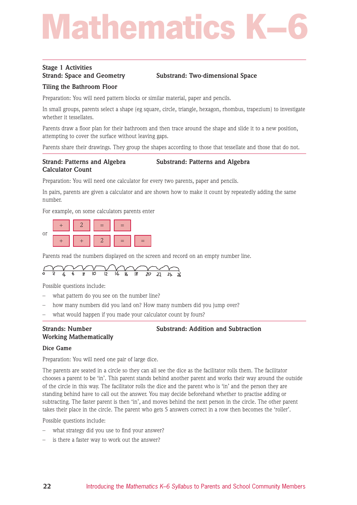# **Mathematic**

# **Stage 1 Activities**

## **Strand: Space and Geometry Substrand: Two-dimensional Space**

## **Tiling the Bathroom Floor**

Preparation: You will need pattern blocks or similar material, paper and pencils.

In small groups, parents select a shape (eg square, circle, triangle, hexagon, rhombus, trapezium) to investigate whether it tessellates.

Parents draw a floor plan for their bathroom and then trace around the shape and slide it to a new position, attempting to cover the surface without leaving gaps.

Parents share their drawings. They group the shapes according to those that tessellate and those that do not.

## **Strand: Patterns and Algebra Substrand: Patterns and Algebra Calculator Count**

Preparation: You will need one calculator for every two parents, paper and pencils.

In pairs, parents are given a calculator and are shown how to make it count by repeatedly adding the same number.

For example, on some calculators parents enter



Parents read the numbers displayed on the screen and record on an empty number line.



Possible questions include:

- what pattern do you see on the number line?
- how many numbers did you land on? How many numbers did you jump over?
- what would happen if you made your calculator count by fours?

# **Working Mathematically**

### **Strands: Number Substrand: Addition and Subtraction**

#### **Dice Game**

Preparation: You will need one pair of large dice.

The parents are seated in a circle so they can all see the dice as the facilitator rolls them. The facilitator chooses a parent to be 'in'. This parent stands behind another parent and works their way around the outside of the circle in this way. The facilitator rolls the dice and the parent who is 'in' and the person they are standing behind have to call out the answer. You may decide beforehand whether to practise adding or subtracting. The faster parent is then 'in', and moves behind the next person in the circle. The other parent takes their place in the circle. The parent who gets 5 answers correct in a row then becomes the 'roller'.

- what strategy did you use to find your answer?
- is there a faster way to work out the answer?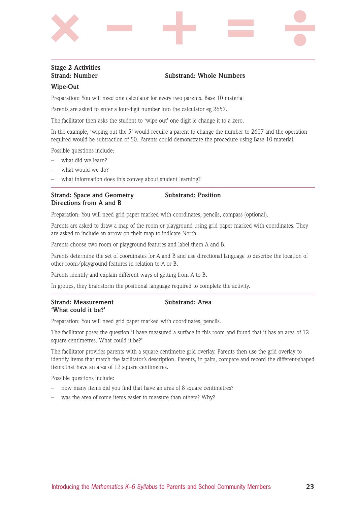# **Stage 2 Activities**

## **Strand: Number Substrand: Whole Numbers**

### **Wipe-Out**

Preparation: You will need one calculator for every two parents, Base 10 material

Parents are asked to enter a four-digit number into the calculator eg 2657.

The facilitator then asks the student to 'wipe out' one digit ie change it to a zero.

In the example, 'wiping out the 5' would require a parent to change the number to 2607 and the operation required would be subtraction of 50. Parents could demonstrate the procedure using Base 10 material.

Possible questions include:

- what did we learn?
- what would we do?
- what information does this convey about student learning?

## **Strand: Space and Geometry Substrand: Position Directions from A and B**

Preparation: You will need grid paper marked with coordinates, pencils, compass (optional).

Parents are asked to draw a map of the room or playground using grid paper marked with coordinates. They are asked to include an arrow on their map to indicate North.

Parents choose two room or playground features and label them A and B.

Parents determine the set of coordinates for A and B and use directional language to describe the location of other room/playground features in relation to A or B.

Parents identify and explain different ways of getting from A to B.

In groups, they brainstorm the positional language required to complete the activity.

### **Strand: Measurement Substrand: Area 'What could it be?'**

Preparation: You will need grid paper marked with coordinates, pencils.

The facilitator poses the question 'I have measured a surface in this room and found that it has an area of 12 square centimetres. What could it be?'

The facilitator provides parents with a square centimetre grid overlay. Parents then use the grid overlay to identify items that match the facilitator's description. Parents, in pairs, compare and record the different-shaped items that have an area of 12 square centimetres.

- how many items did you find that have an area of 8 square centimetres?
- was the area of some items easier to measure than others? Why?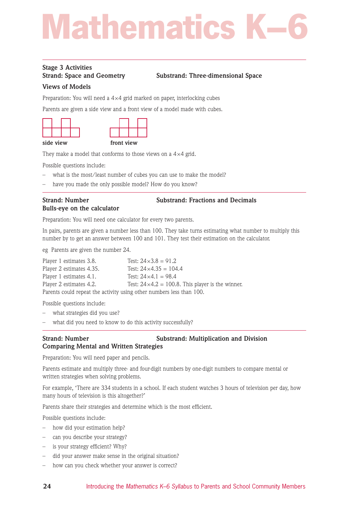# **Mathematic**

# **Stage 3 Activities**

## **Strand: Space and Geometry Substrand: Three-dimensional Space**

## **Views of Models**

Preparation: You will need a  $4 \times 4$  grid marked on paper, interlocking cubes

Parents are given a side view and a front view of a model made with cubes.



They make a model that conforms to those views on a  $4 \times 4$  grid.

Possible questions include:

- what is the most/least number of cubes you can use to make the model?
- have you made the only possible model? How do you know?

# **Bulls-eye on the calculator**

**Strand: Number Substrand: Fractions and Decimals** 

Preparation: You will need one calculator for every two parents.

In pairs, parents are given a number less than 100. They take turns estimating what number to multiply this number by to get an answer between 100 and 101. They test their estimation on the calculator.

eg Parents are given the number 24.

| Player 1 estimates 3.8.                                              | Test: $24 \times 3.8 = 91.2$                               |  |  |  |  |  |  |  |
|----------------------------------------------------------------------|------------------------------------------------------------|--|--|--|--|--|--|--|
| Player 2 estimates 4.35.                                             | Test: $24 \times 4.35 = 104.4$                             |  |  |  |  |  |  |  |
| Player 1 estimates 4.1.                                              | Test: $24 \times 4.1 = 98.4$                               |  |  |  |  |  |  |  |
| Player 2 estimates 4.2.                                              | Test: $24 \times 4.2 = 100.8$ . This player is the winner. |  |  |  |  |  |  |  |
| Parents could repeat the activity using other numbers less than 100. |                                                            |  |  |  |  |  |  |  |

Possible questions include:

- what strategies did you use?
- what did you need to know to do this activity successfully?

## **Strand: Number Substrand: Multiplication and Division Comparing Mental and Written Strategies**

Preparation: You will need paper and pencils.

Parents estimate and multiply three- and four-digit numbers by one-digit numbers to compare mental or written strategies when solving problems.

For example, 'There are 334 students in a school. If each student watches 3 hours of television per day, how many hours of television is this altogether?'

Parents share their strategies and determine which is the most efficient.

- how did your estimation help?
- can you describe your strategy?
- is your strategy efficient? Why?
- did your answer make sense in the original situation?
- how can you check whether your answer is correct?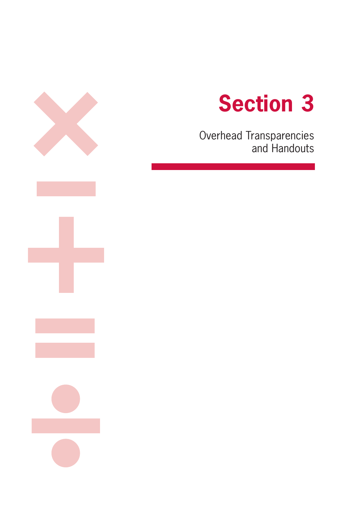

Overhead Transparencies and Handouts

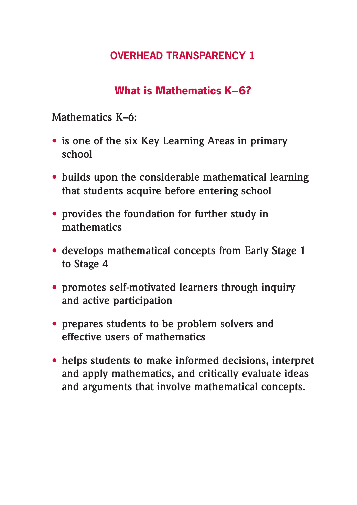## **What is Mathematics K–6?**

**Mathematics K–6:**

- **• is one of the six Key Learning Areas in primary school**
- **• builds upon the considerable mathematical learning that students acquire before entering school**
- **• provides the foundation for further study in mathematics**
- **• develops mathematical concepts from Early Stage 1 to Stage 4**
- **• promotes self-motivated learners through inquiry and active participation**
- **• prepares students to be problem solvers and effective users of mathematics**
- **• helps students to make informed decisions, interpret and apply mathematics, and critically evaluate ideas and arguments that involve mathematical concepts.**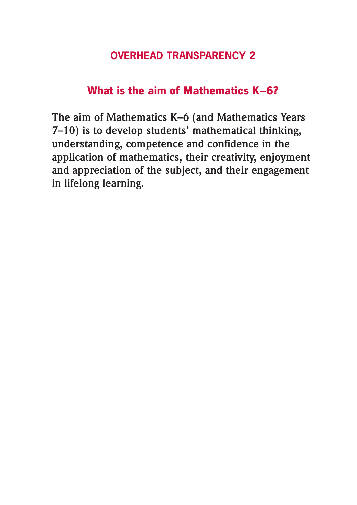## **What is the aim of Mathematics K–6?**

**The aim of Mathematics K–6 (and Mathematics Years 7–10) is to develop students' mathematical thinking, understanding, competence and confidence in the application of mathematics, their creativity, enjoyment and appreciation of the subject, and their engagement in lifelong learning.**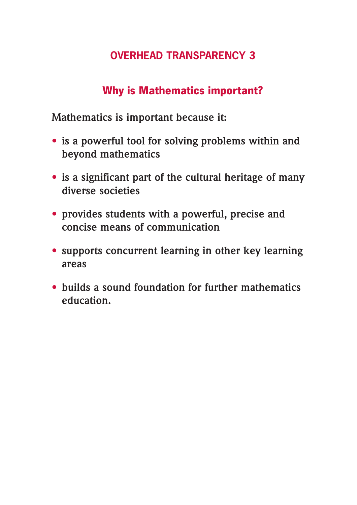## **Why is Mathematics important?**

**Mathematics is important because it:**

- **• is a powerful tool for solving problems within and beyond mathematics**
- **• is a significant part of the cultural heritage of many diverse societies**
- **• provides students with a powerful, precise and concise means of communication**
- **• supports concurrent learning in other key learning areas**
- **• builds a sound foundation for further mathematics education.**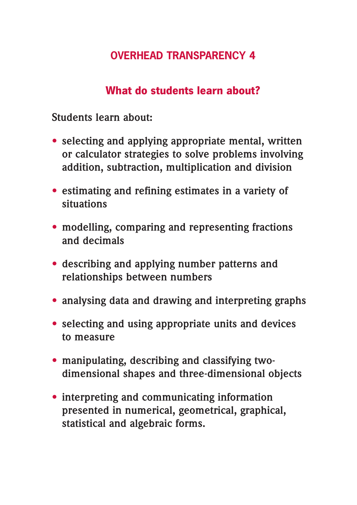## **What do students learn about?**

**Students learn about:**

- **• selecting and applying appropriate mental, written or calculator strategies to solve problems involving addition, subtraction, multiplication and division**
- **• estimating and refining estimates in a variety of situations**
- **• modelling, comparing and representing fractions and decimals**
- **• describing and applying number patterns and relationships between numbers**
- **• analysing data and drawing and interpreting graphs**
- **• selecting and using appropriate units and devices to measure**
- **• manipulating, describing and classifying twodimensional shapes and three-dimensional objects**
- **• interpreting and communicating information presented in numerical, geometrical, graphical, statistical and algebraic forms.**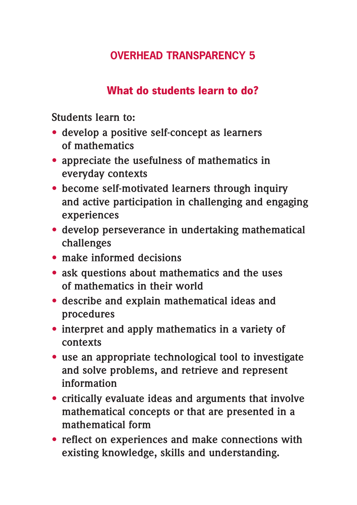## **What do students learn to do?**

**Students learn to:**

- **• develop a positive self-concept as learners of mathematics**
- **• appreciate the usefulness of mathematics in everyday contexts**
- **• become self-motivated learners through inquiry and active participation in challenging and engaging experiences**
- **• develop perseverance in undertaking mathematical challenges**
- **• make informed decisions**
- **• ask questions about mathematics and the uses of mathematics in their world**
- **• describe and explain mathematical ideas and procedures**
- **• interpret and apply mathematics in a variety of contexts**
- **• use an appropriate technological tool to investigate and solve problems, and retrieve and represent information**
- **• critically evaluate ideas and arguments that involve mathematical concepts or that are presented in a mathematical form**
- **• reflect on experiences and make connections with existing knowledge, skills and understanding.**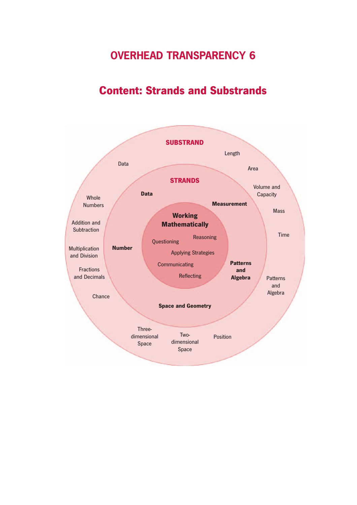## **Content: Strands and Substrands**

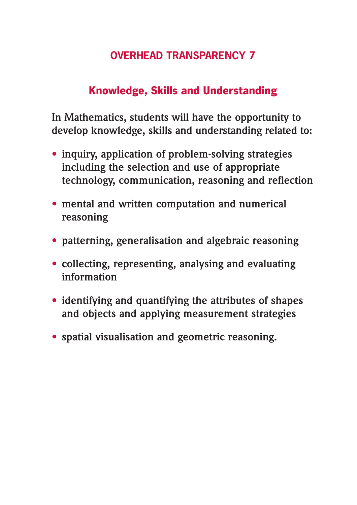# **Knowledge, Skills and Understanding**

**In Mathematics, students will have the opportunity to develop knowledge, skills and understanding related to:** 

- **• inquiry, application of problem-solving strategies including the selection and use of appropriate technology, communication, reasoning and reflection**
- **• mental and written computation and numerical reasoning**
- **• patterning, generalisation and algebraic reasoning**
- **• collecting, representing, analysing and evaluating information**
- **• identifying and quantifying the attributes of shapes and objects and applying measurement strategies**
- **• spatial visualisation and geometric reasoning.**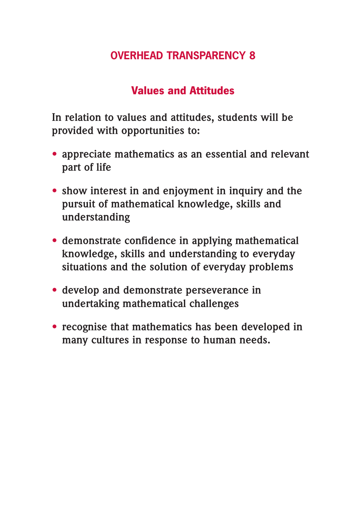## **Values and Attitudes**

**In relation to values and attitudes, students will be provided with opportunities to:**

- **• appreciate mathematics as an essential and relevant part of life**
- **• show interest in and enjoyment in inquiry and the pursuit of mathematical knowledge, skills and understanding**
- **• demonstrate confidence in applying mathematical knowledge, skills and understanding to everyday situations and the solution of everyday problems**
- **• develop and demonstrate perseverance in undertaking mathematical challenges**
- **• recognise that mathematics has been developed in many cultures in response to human needs.**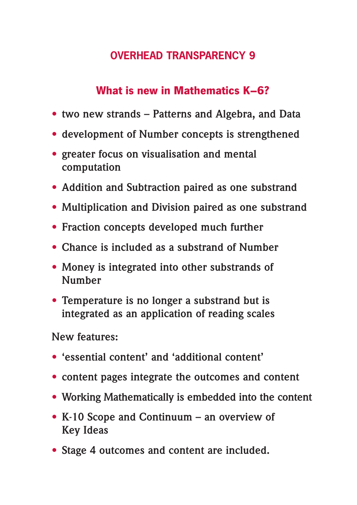## **What is new in Mathematics K–6?**

- **• two new strands Patterns and Algebra, and Data**
- **• development of Number concepts is strengthened**
- **• greater focus on visualisation and mental computation**
- **• Addition and Subtraction paired as one substrand**
- **• Multiplication and Division paired as one substrand**
- **• Fraction concepts developed much further**
- **• Chance is included as a substrand of Number**
- **• Money is integrated into other substrands of Number**
- **• Temperature is no longer a substrand but is integrated as an application of reading scales**

**New features:**

- **• 'essential content' and 'additional content'**
- **• content pages integrate the outcomes and content**
- **• Working Mathematically is embedded into the content**
- **• K-10 Scope and Continuum an overview of Key Ideas**
- **• Stage 4 outcomes and content are included.**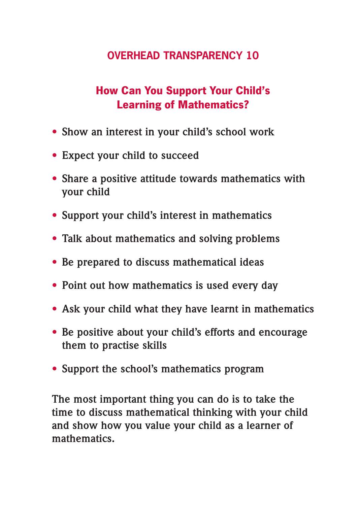# **How Can You Support Your Child's Learning of Mathematics?**

- **• Show an interest in your child's school work**
- **• Expect your child to succeed**
- **• Share a positive attitude towards mathematics with your child**
- **• Support your child's interest in mathematics**
- **• Talk about mathematics and solving problems**
- **• Be prepared to discuss mathematical ideas**
- **• Point out how mathematics is used every day**
- **• Ask your child what they have learnt in mathematics**
- **• Be positive about your child's efforts and encourage them to practise skills**
- **• Support the school's mathematics program**

**The most important thing you can do is to take the time to discuss mathematical thinking with your child and show how you value your child as a learner of mathematics.**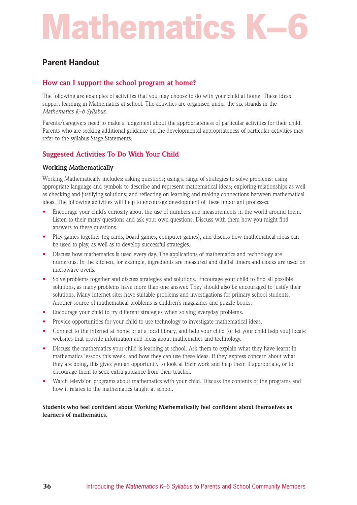## **Parent Handout**

## **How can I support the school program at home?**

The following are examples of activities that you may choose to do with your child at home. These ideas support learning in Mathematics at school. The activities are organised under the six strands in the *Mathematics K–6 Syllabus*.

Parents/caregivers need to make a judgement about the appropriateness of particular activities for their child. Parents who are seeking additional guidance on the developmental appropriateness of particular activities may refer to the syllabus Stage Statements.

## **Suggested Activities To Do With Your Child**

## **Working Mathematically**

Working Mathematically includes: asking questions; using a range of strategies to solve problems; using appropriate language and symbols to describe and represent mathematical ideas; exploring relationships as well as checking and justifying solutions; and reflecting on learning and making connections between mathematical ideas. The following activities will help to encourage development of these important processes.

- Encourage your child's curiosity about the use of numbers and measurements in the world around them. Listen to their many questions and ask your own questions. Discuss with them how you might find answers to these questions.
- Play games together (eg cards, board games, computer games), and discuss how mathematical ideas can be used to play, as well as to develop successful strategies.
- Discuss how mathematics is used every day. The applications of mathematics and technology are numerous. In the kitchen, for example, ingredients are measured and digital timers and clocks are used on microwave ovens.
- Solve problems together and discuss strategies and solutions. Encourage your child to find all possible solutions, as many problems have more than one answer. They should also be encouraged to justify their solutions. Many internet sites have suitable problems and investigations for primary school students. Another source of mathematical problems is children's magazines and puzzle books.
- Encourage your child to try different strategies when solving everyday problems.
- Provide opportunities for your child to use technology to investigate mathematical ideas.
- Connect to the internet at home or at a local library, and help your child (or let your child help you) locate websites that provide information and ideas about mathematics and technology.
- Discuss the mathematics your child is learning at school. Ask them to explain what they have learnt in mathematics lessons this week, and how they can use these ideas. If they express concern about what they are doing, this gives you an opportunity to look at their work and help them if appropriate, or to encourage them to seek extra guidance from their teacher.
- Watch television programs about mathematics with your child. Discuss the contents of the programs and how it relates to the mathematics taught at school.

### **Students who feel confident about Working Mathematically feel confident about themselves as learners of mathematics.**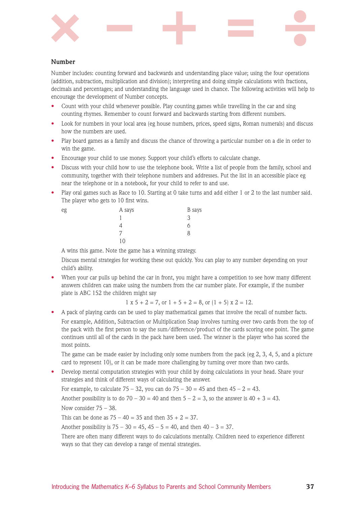

## **Number**

Number includes: counting forward and backwards and understanding place value; using the four operations (addition, subtraction, multiplication and division); interpreting and doing simple calculations with fractions, decimals and percentages; and understanding the language used in chance. The following activities will help to encourage the development of Number concepts.

- Count with your child whenever possible. Play counting games while travelling in the car and sing counting rhymes. Remember to count forward and backwards starting from different numbers.
- Look for numbers in your local area (eg house numbers, prices, speed signs, Roman numerals) and discuss how the numbers are used.
- Play board games as a family and discuss the chance of throwing a particular number on a die in order to win the game.
- Encourage your child to use money. Support your child's efforts to calculate change.
- Discuss with your child how to use the telephone book. Write a list of people from the family, school and community, together with their telephone numbers and addresses. Put the list in an accessible place eg near the telephone or in a notebook, for your child to refer to and use.
- Play oral games such as Race to 10. Starting at 0 take turns and add either 1 or 2 to the last number said. The player who gets to 10 first wins.

| eg | A says | B says |
|----|--------|--------|
|    |        | っ<br>ٮ |
|    |        |        |
|    |        | ŏ      |
|    | 10     |        |

A wins this game. Note the game has a winning strategy.

Discuss mental strategies for working these out quickly. You can play to any number depending on your child's ability.

• When your car pulls up behind the car in front, you might have a competition to see how many different answers children can make using the numbers from the car number plate. For example, if the number plate is ABC 152 the children might say

 $1 \times 5 + 2 = 7$ , or  $1 + 5 + 2 = 8$ , or  $(1 + 5) \times 2 = 12$ .

• A pack of playing cards can be used to play mathematical games that involve the recall of number facts. For example, Addition, Subtraction or Multiplication Snap involves turning over two cards from the top of the pack with the first person to say the sum/difference/product of the cards scoring one point. The game continues until all of the cards in the pack have been used. The winner is the player who has scored the most points.

The game can be made easier by including only some numbers from the pack (eg 2, 3, 4, 5, and a picture card to represent 10), or it can be made more challenging by turning over more than two cards.

• Develop mental computation strategies with your child by doing calculations in your head. Share your strategies and think of different ways of calculating the answer.

For example, to calculate  $75 - 32$ , you can do  $75 - 30 = 45$  and then  $45 - 2 = 43$ .

Another possibility is to do  $70 - 30 = 40$  and then  $5 - 2 = 3$ , so the answer is  $40 + 3 = 43$ .

Now consider 75 – 38.

This can be done as  $75 - 40 = 35$  and then  $35 + 2 = 37$ .

Another possibility is  $75 - 30 = 45$ ,  $45 - 5 = 40$ , and then  $40 - 3 = 37$ .

There are often many different ways to do calculations mentally. Children need to experience different ways so that they can develop a range of mental strategies.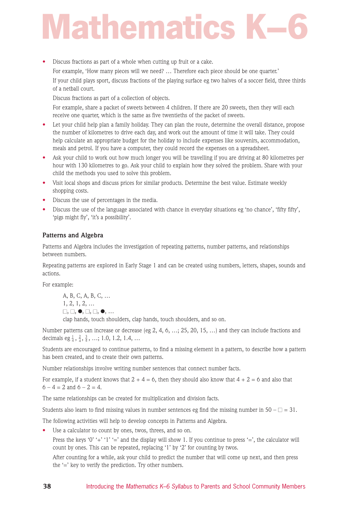# **Mathematics**

• Discuss fractions as part of a whole when cutting up fruit or a cake.

For example, 'How many pieces will we need? … Therefore each piece should be one quarter.' If your child plays sport, discuss fractions of the playing surface eg two halves of a soccer field, three thirds of a netball court.

Discuss fractions as part of a collection of objects.

For example, share a packet of sweets between 4 children. If there are 20 sweets, then they will each receive one quarter, which is the same as five twentieths of the packet of sweets.

- Let your child help plan a family holiday. They can plan the route, determine the overall distance, propose the number of kilometres to drive each day, and work out the amount of time it will take. They could help calculate an appropriate budget for the holiday to include expenses like souvenirs, accommodation, meals and petrol. If you have a computer, they could record the expenses on a spreadsheet.
- Ask your child to work out how much longer you will be travelling if you are driving at 80 kilometres per hour with 130 kilometres to go. Ask your child to explain how they solved the problem. Share with your child the methods you used to solve this problem.
- Visit local shops and discuss prices for similar products. Determine the best value. Estimate weekly shopping costs.
- Discuss the use of percentages in the media.
- Discuss the use of the language associated with chance in everyday situations eg 'no chance', 'fifty fifty', 'pigs might fly', 'it's a possibility'.

## **Patterns and Algebra**

Patterns and Algebra includes the investigation of repeating patterns, number patterns, and relationships between numbers.

Repeating patterns are explored in Early Stage 1 and can be created using numbers, letters, shapes, sounds and actions.

For example:

```
A, B, C, A, B, C, …
1, 2, 1, 2, …
\square, \square, \bullet, \square, \square, \bullet, \dotsclap hands, touch shoulders, clap hands, touch shoulders, and so on.
```
Number patterns can increase or decrease (eg 2, 4, 6, …; 25, 20, 15, …) and they can include fractions and decimals eg  $\frac{1}{4}$ ,  $\frac{2}{4}$ ,  $\frac{3}{4}$ , ...; 1.0, 1.2, 1.4, ...

Students are encouraged to continue patterns, to find a missing element in a pattern, to describe how a pattern has been created, and to create their own patterns.

Number relationships involve writing number sentences that connect number facts.

For example, if a student knows that  $2 + 4 = 6$ , then they should also know that  $4 + 2 = 6$  and also that  $6 - 4 = 2$  and  $6 - 2 = 4$ .

The same relationships can be created for multiplication and division facts.

Students also learn to find missing values in number sentences eg find the missing number in  $50 - \square = 31$ .

The following activities will help to develop concepts in Patterns and Algebra.

Use a calculator to count by ones, twos, threes, and so on.

Press the keys '0' '+' '1' '=' and the display will show 1. If you continue to press '=', the calculator will count by ones. This can be repeated, replacing '1' by '2' for counting by twos.

After counting for a while, ask your child to predict the number that will come up next, and then press the '=' key to verify the prediction. Try other numbers.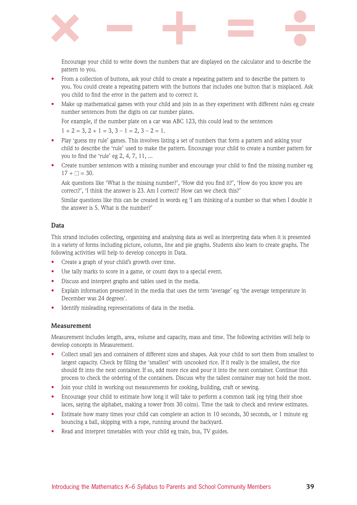

Encourage your child to write down the numbers that are displayed on the calculator and to describe the pattern to you.

- From a collection of buttons, ask your child to create a repeating pattern and to describe the pattern to you. You could create a repeating pattern with the buttons that includes one button that is misplaced. Ask you child to find the error in the pattern and to correct it.
- Make up mathematical games with your child and join in as they experiment with different rules eg create number sentences from the digits on car number plates.

For example, if the number plate on a car was ABC 123, this could lead to the sentences

 $1 + 2 = 3$ ,  $2 + 1 = 3$ ,  $3 - 1 = 2$ ,  $3 - 2 = 1$ .

- Play 'guess my rule' games. This involves listing a set of numbers that form a pattern and asking your child to describe the 'rule' used to make the pattern. Encourage your child to create a number pattern for you to find the 'rule' eg 2, 4, 7, 11, ...
- Create number sentences with a missing number and encourage your child to find the missing number eg  $17 + \square = 30$ .

Ask questions like 'What is the missing number?', 'How did you find it?', 'How do you know you are correct?', 'I think the answer is 23. Am I correct? How can we check this?'

Similar questions like this can be created in words eg 'I am thinking of a number so that when I double it the answer is 5. What is the number?'

### **Data**

This strand includes collecting, organising and analysing data as well as interpreting data when it is presented in a variety of forms including picture, column, line and pie graphs. Students also learn to create graphs. The following activities will help to develop concepts in Data.

- Create a graph of your child's growth over time.
- Use tally marks to score in a game, or count days to a special event.
- Discuss and interpret graphs and tables used in the media.
- Explain information presented in the media that uses the term 'average' eg 'the average temperature in December was 24 degrees'.
- Identify misleading representations of data in the media.

### **Measurement**

Measurement includes length, area, volume and capacity, mass and time. The following activities will help to develop concepts in Measurement.

- Collect small jars and containers of different sizes and shapes. Ask your child to sort them from smallest to largest capacity. Check by filling the 'smallest' with uncooked rice. If it really is the smallest, the rice should fit into the next container. If so, add more rice and pour it into the next container. Continue this process to check the ordering of the containers. Discuss why the tallest container may not hold the most.
- Join your child in working out measurements for cooking, building, craft or sewing.
- Encourage your child to estimate how long it will take to perform a common task (eg tying their shoe laces, saying the alphabet, making a tower from 30 coins). Time the task to check and review estimates.
- Estimate how many times your child can complete an action in 10 seconds, 30 seconds, or 1 minute eg bouncing a ball, skipping with a rope, running around the backyard.
- Read and interpret timetables with your child eg train, bus, TV guides.